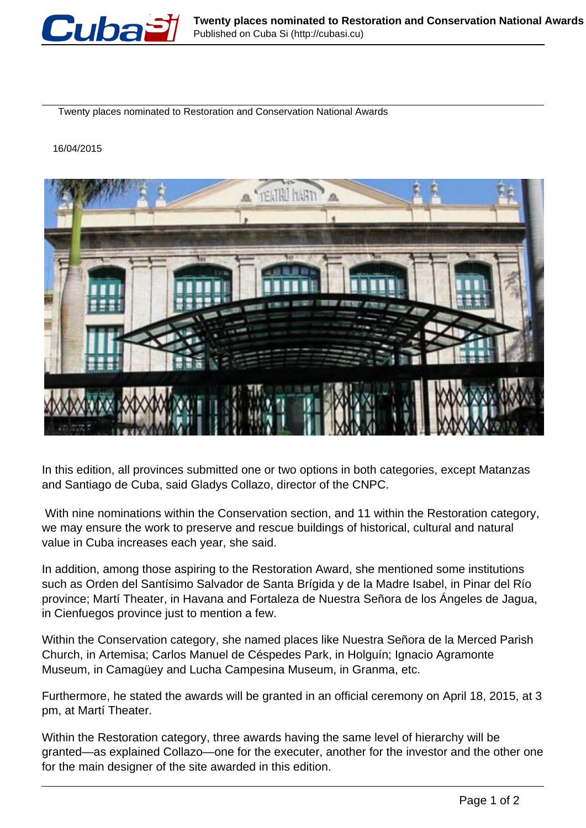

Twenty places nominated to Restoration and Conservation National Awards

## 16/04/2015



In this edition, all provinces submitted one or two options in both categories, except Matanzas and Santiago de Cuba, said Gladys Collazo, director of the CNPC.

 With nine nominations within the Conservation section, and 11 within the Restoration category, we may ensure the work to preserve and rescue buildings of historical, cultural and natural value in Cuba increases each year, she said.

In addition, among those aspiring to the Restoration Award, she mentioned some institutions such as Orden del Santísimo Salvador de Santa Brígida y de la Madre Isabel, in Pinar del Río province; Martí Theater, in Havana and Fortaleza de Nuestra Señora de los Ángeles de Jagua, in Cienfuegos province just to mention a few.

Within the Conservation category, she named places like Nuestra Señora de la Merced Parish Church, in Artemisa; Carlos Manuel de Céspedes Park, in Holguín; Ignacio Agramonte Museum, in Camagüey and Lucha Campesina Museum, in Granma, etc.

Furthermore, he stated the awards will be granted in an official ceremony on April 18, 2015, at 3 pm, at Martí Theater.

Within the Restoration category, three awards having the same level of hierarchy will be granted—as explained Collazo—one for the executer, another for the investor and the other one for the main designer of the site awarded in this edition.